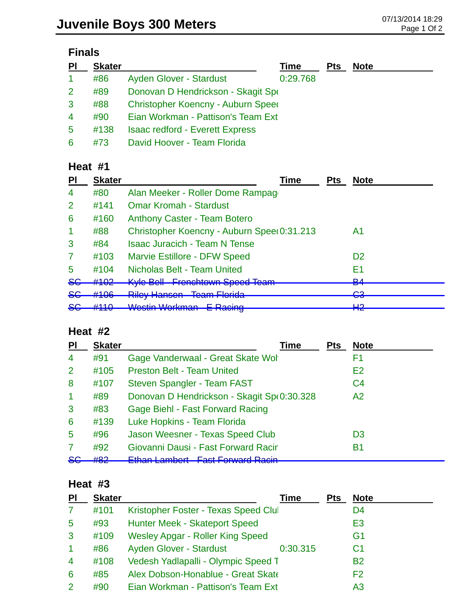# **Finals**

| PI                   | <b>Skater</b> |                                        | <b>Time</b> | <b>Pts</b> | <b>Note</b> |
|----------------------|---------------|----------------------------------------|-------------|------------|-------------|
| $\blacktriangleleft$ | #86           | Ayden Glover - Stardust                | 0:29.768    |            |             |
| 2                    | #89           | Donovan D Hendrickson - Skagit Spe     |             |            |             |
| 3                    | #88           | Christopher Koencny - Auburn Speed     |             |            |             |
| $\overline{4}$       | #90           | Eian Workman - Pattison's Team Ext     |             |            |             |
| 5                    | #138          | <b>Isaac redford - Everett Express</b> |             |            |             |
| 6                    | #73           | David Hoover - Team Florida            |             |            |             |

### **Heat #1**

| <b>PI</b>            | <b>Skater</b> | Time                                                                       | <b>Pts</b> | <b>Note</b>         |
|----------------------|---------------|----------------------------------------------------------------------------|------------|---------------------|
| 4                    | #80           | Alan Meeker - Roller Dome Rampage                                          |            |                     |
| $\overline{2}$       | #141          | <b>Omar Kromah - Stardust</b>                                              |            |                     |
| 6                    | #160          | <b>Anthony Caster - Team Botero</b>                                        |            |                     |
| $\blacktriangleleft$ | #88           | Christopher Koencny - Auburn Spee(0:31.213                                 |            | A1                  |
| 3                    | #84           | <b>Isaac Juracich - Team N Tense</b>                                       |            |                     |
| 7                    | #103          | <b>Marvie Estillore - DFW Speed</b>                                        |            | D <sub>2</sub>      |
| 5                    | #104          | <b>Nicholas Belt - Team United</b>                                         |            | E1                  |
| <del>SG</del>        | #102          | <b>Kyle Bell Frenchtown Speed Team</b>                                     |            | D <sub>A</sub><br>▱ |
| <del>SG</del>        | #106          | <b>Riley Hansen Team Florida</b>                                           |            | ∩ว<br>▽▽            |
| <del>SG</del>        | H440<br>#110  | Wastin Warkman E Daoing<br><del>L Raomy</del><br><u>VYUJULI VYUINITAIT</u> |            | ⊔റ<br>ПС            |

### **Heat #2**

| PI             | <b>Skater</b> | Time                                       | <b>Pts</b> | <b>Note</b>    |
|----------------|---------------|--------------------------------------------|------------|----------------|
| $\overline{4}$ | #91           | Gage Vanderwaal - Great Skate Wol          |            | F1             |
| 2              | #105          | <b>Preston Belt - Team United</b>          |            | E2             |
| 8              | #107          | Steven Spangler - Team FAST                |            | C <sub>4</sub> |
| $\mathbf{1}$   | #89           | Donovan D Hendrickson - Skagit Sp(0:30.328 |            | A <sub>2</sub> |
| 3              | #83           | <b>Gage Biehl - Fast Forward Racing</b>    |            |                |
| 6              | #139          | Luke Hopkins - Team Florida                |            |                |
| 5              | #96           | Jason Weesner - Texas Speed Club           |            | D <sub>3</sub> |
| 7              | #92           | Giovanni Dausi - Fast Forward Racir        |            | B1             |
| 86             | 40റ<br>πoΖ    | ambort East Eaguard Daoin                  |            |                |

#### **Heat #3**

| PI                   | <b>Skater</b> |                                         | Time     | <b>Pts</b> | <b>Note</b>    |
|----------------------|---------------|-----------------------------------------|----------|------------|----------------|
| 7                    | #101          | Kristopher Foster - Texas Speed Clul    |          |            | D4             |
| 5                    | #93           | <b>Hunter Meek - Skateport Speed</b>    |          |            | E3             |
| 3                    | #109          | <b>Wesley Apgar - Roller King Speed</b> |          |            | G <sub>1</sub> |
| $\blacktriangleleft$ | #86           | <b>Ayden Glover - Stardust</b>          | 0:30.315 |            | C <sub>1</sub> |
| $\overline{4}$       | #108          | Vedesh Yadlapalli - Olympic Speed T     |          |            | <b>B2</b>      |
| 6                    | #85           | Alex Dobson-Honablue - Great Skate      |          |            | F2             |
| 2                    | #90           | Eian Workman - Pattison's Team Ext      |          |            | A3             |